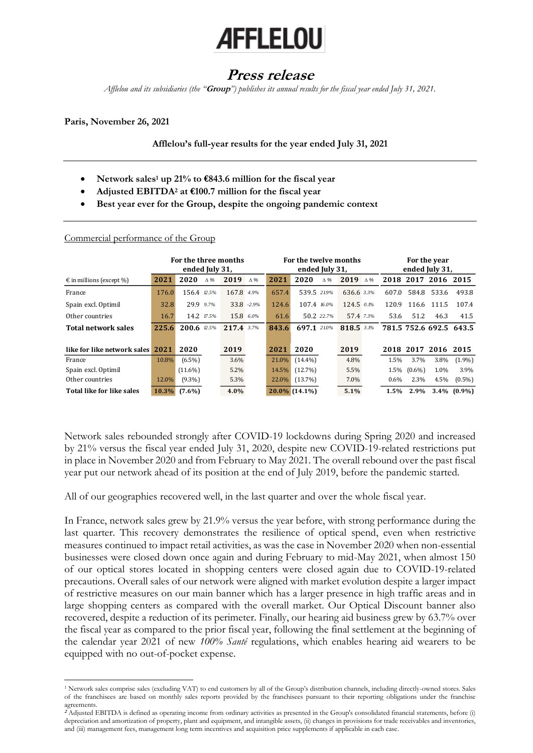# **AFFLELOU**

# **Press release**

*Afflelou and its subsidiaries (the "***Group***") publishes its annual results for the fiscal year ended July 31, 2021.*

### **Paris, November 26, 2021**

## **Afflelou's full-year results for the year ended July 31, 2021**

- **Network sales<sup>1</sup> up 21% to €843.6 million for the fiscal year**
- **Adjusted EBITDA<sup>2</sup> at €100.7 million for the fiscal year**
- **Best year ever for the Group, despite the ongoing pandemic context**

|                                   | For the three months<br>ended July 31, |                |            | For the twelve months<br>ended July 31, |            |       |                  | For the year<br>ended July 31, |              |            |           |           |             |                         |
|-----------------------------------|----------------------------------------|----------------|------------|-----------------------------------------|------------|-------|------------------|--------------------------------|--------------|------------|-----------|-----------|-------------|-------------------------|
| $\epsilon$ in millions (except %) | 2021                                   | 2020           | $\Delta\%$ | 2019                                    | $\Delta$ % | 2021  | 2020             | $\Delta$ %                     | 2019         | $\Delta$ % | 2018      | 2017 2016 |             | 2015                    |
| France                            | 176.0                                  | 156.4 12.5%    |            | 167.8 4.9%                              |            | 657.4 | 539.5 219%       |                                | 636.6 3.3%   |            | 607.0     |           | 584.8 533.6 | 493.8                   |
| Spain excl. Optimil               | 32.8                                   | 29.9 9.7%      |            |                                         | 33.8 -2.9% | 124.6 | 107.4 16.0%      |                                | $124.5$ 0.1% |            | 120.9     |           | 116.6 111.5 | 107.4                   |
| Other countries                   | 16.7                                   | 14.2 17.5%     |            | 15.8 6.0%                               |            | 61.6  |                  | 50.2 22.7%                     | 57.4 7.3%    |            | 53.6      | 51.2      | 46.3        | 41.5                    |
| <b>Total network sales</b>        | 225.6                                  | 200.6 $12.5\%$ |            | $217.43.7\%$                            |            | 843.6 | 697.1            | 21.0%                          | 818.5 3.1%   |            |           |           |             | 781.5 752.6 692.5 643.5 |
| like for like network sales 2021  |                                        | 2020           |            | 2019                                    |            | 2021  | 2020             |                                | 2019         |            | 2018 2017 |           | 2016        | 2015                    |
| France                            | 10.8%                                  | $(6.5\%)$      |            | 3.6%                                    |            | 21.0% | $(14.4\%)$       |                                | 4.8%         |            | 1.5%      | 3.7%      | 3.8%        | $(1.9\%)$               |
| Spain excl. Optimil               |                                        | $(11.6\%)$     |            | 5.2%                                    |            | 14.5% | (12.7%)          |                                | 5.5%         |            | 1.5%      | $(0.6\%)$ | 1.0%        | 3.9%                    |
| Other countries                   | 12.0%                                  | $(9.3\%)$      |            | 5.3%                                    |            | 22.0% | (13.7%)          |                                | 7.0%         |            | $0.6\%$   | 2.3%      | 4.5%        | $(0.5\%)$               |
| Total like for like sales         | 10.3%                                  | $(7.6\%)$      |            | $4.0\%$                                 |            |       | $20.0\%$ (14.1%) |                                | 5.1%         |            | 1.5%      | 2.9%      | $3.4\%$     | $(0.9\%)$               |

#### Commercial performance of the Group

Network sales rebounded strongly after COVID-19 lockdowns during Spring 2020 and increased by 21% versus the fiscal year ended July 31, 2020, despite new COVID-19-related restrictions put in place in November 2020 and from February to May 2021. The overall rebound over the past fiscal year put our network ahead of its position at the end of July 2019, before the pandemic started.

All of our geographies recovered well, in the last quarter and over the whole fiscal year.

In France, network sales grew by 21.9% versus the year before, with strong performance during the last quarter. This recovery demonstrates the resilience of optical spend, even when restrictive measures continued to impact retail activities, as was the case in November 2020 when non-essential businesses were closed down once again and during February to mid-May 2021, when almost 150 of our optical stores located in shopping centers were closed again due to COVID-19-related precautions. Overall sales of our network were aligned with market evolution despite a larger impact of restrictive measures on our main banner which has a larger presence in high traffic areas and in large shopping centers as compared with the overall market. Our Optical Discount banner also recovered, despite a reduction of its perimeter. Finally, our hearing aid business grew by 63.7% over the fiscal year as compared to the prior fiscal year, following the final settlement at the beginning of the calendar year 2021 of new *100% Santé* regulations, which enables hearing aid wearers to be equipped with no out-of-pocket expense.

<sup>1</sup> Network sales comprise sales (excluding VAT) to end customers by all of the Group's distribution channels, including directly-owned stores. Sales of the franchisees are based on monthly sales reports provided by the franchisees pursuant to their reporting obligations under the franchise agreements.

**<sup>2</sup>** Adjusted EBITDA is defined as operating income from ordinary activities as presented in the Group's consolidated financial statements, before (i) depreciation and amortization of property, plant and equipment, and intangible assets, (ii) changes in provisions for trade receivables and inventories, and (iii) management fees, management long term incentives and acquisition price supplements if applicable in each case.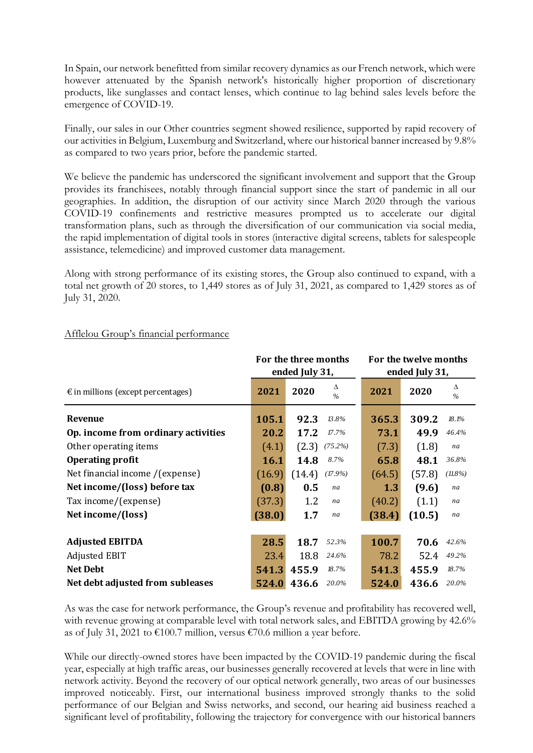In Spain, our network benefitted from similar recovery dynamics as our French network, which were however attenuated by the Spanish network's historically higher proportion of discretionary products, like sunglasses and contact lenses, which continue to lag behind sales levels before the emergence of COVID-19.

Finally, our sales in our Other countries segment showed resilience, supported by rapid recovery of our activities in Belgium, Luxemburg and Switzerland, where our historical banner increased by 9.8% as compared to two years prior, before the pandemic started.

We believe the pandemic has underscored the significant involvement and support that the Group provides its franchisees, notably through financial support since the start of pandemic in all our geographies. In addition, the disruption of our activity since March 2020 through the various COVID-19 confinements and restrictive measures prompted us to accelerate our digital transformation plans, such as through the diversification of our communication via social media, the rapid implementation of digital tools in stores (interactive digital screens, tablets for salespeople assistance, telemedicine) and improved customer data management.

Along with strong performance of its existing stores, the Group also continued to expand, with a total net growth of 20 stores, to 1,449 stores as of July 31, 2021, as compared to 1,429 stores as of July 31, 2020.

|                                             |             | For the three months<br>ended July 31, | For the twelve months<br>ended July 31, |                            |  |  |
|---------------------------------------------|-------------|----------------------------------------|-----------------------------------------|----------------------------|--|--|
| $\epsilon$ in millions (except percentages) | 2021        | Δ<br>2020<br>$\frac{0}{0}$             | 2021                                    | Δ<br>2020<br>$\frac{0}{0}$ |  |  |
| Revenue                                     | 105.1       | 92.3<br>13.8%                          | 365.3                                   | 309.2<br>18.1%             |  |  |
| Op. income from ordinary activities         | 20.2        | 17.2<br>17.7%                          | 73.1                                    | 49.9<br>46.4%              |  |  |
| Other operating items                       | (4.1)       | (2.3)<br>$(75.2\%)$                    | (7.3)                                   | (1.8)<br>na                |  |  |
| <b>Operating profit</b>                     | <b>16.1</b> | 14.8<br>8.7%                           | 65.8                                    | 48.1<br>36.8%              |  |  |
| Net financial income /(expense)             | (16.9)      | (14.4)<br>$(17.9\%)$                   | (64.5)                                  | (57.8)<br>$(11.8\%)$       |  |  |
| Net income/(loss) before tax                | (0.8)       | 0.5<br>na                              | 1.3                                     | (9.6)<br>na                |  |  |
| Tax income/(expense)                        | (37.3)      | 1.2<br>na                              | (40.2)                                  | (1.1)<br>na                |  |  |
| Net income/(loss)                           | (38.0)      | 1.7<br>na                              | (38.4)                                  | (10.5)<br>na               |  |  |
| <b>Adjusted EBITDA</b>                      | 28.5        | 18.7<br>52.3%                          | 100.7                                   | 70.6<br>42.6%              |  |  |
| Adjusted EBIT                               | 23.4        | 18.8<br>24.6%                          | 78.2                                    | 52.4<br>49.2%              |  |  |
| <b>Net Debt</b>                             | 541.3       | 455.9<br>18.7%                         | 541.3                                   | 455.9<br>18.7%             |  |  |
| Net debt adjusted from subleases            | 524.0       | 436.6<br>20.0%                         | 524.0                                   | 436.6<br>20.0%             |  |  |

# Afflelou Group's financial performance

As was the case for network performance, the Group's revenue and profitability has recovered well, with revenue growing at comparable level with total network sales, and EBITDA growing by 42.6% as of July 31, 2021 to €100.7 million, versus €70.6 million a year before.

While our directly-owned stores have been impacted by the COVID-19 pandemic during the fiscal year, especially at high traffic areas, our businesses generally recovered at levels that were in line with network activity. Beyond the recovery of our optical network generally, two areas of our businesses improved noticeably. First, our international business improved strongly thanks to the solid performance of our Belgian and Swiss networks, and second, our hearing aid business reached a significant level of profitability, following the trajectory for convergence with our historical banners